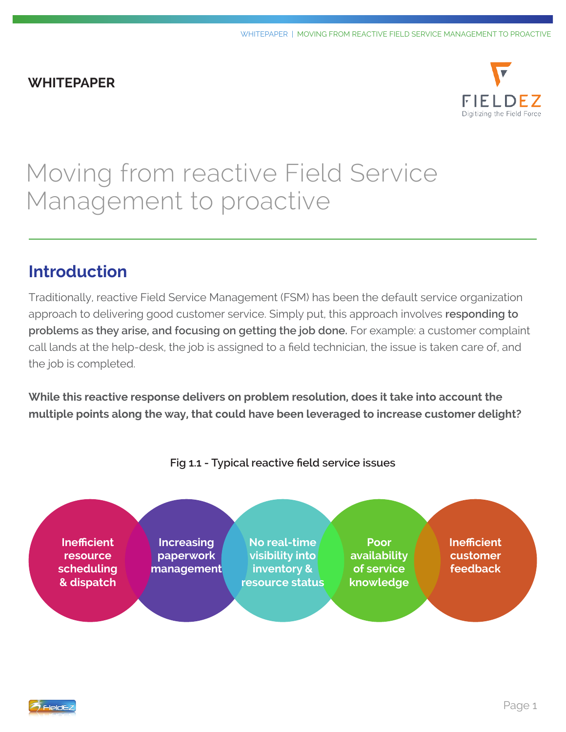#### **WHITEPAPER**



# Moving from reactive Field Service Management to proactive

# **Introduction**

Traditionally, reactive Field Service Management (FSM) has been the default service organization approach to delivering good customer service. Simply put, this approach involves **responding to problems as they arise, and focusing on getting the job done.** For example: a customer complaint call lands at the help-desk, the job is assigned to a field technician, the issue is taken care of, and the job is completed.

**While this reactive response delivers on problem resolution, does it take into account the multiple points along the way, that could have been leveraged to increase customer delight?**



**Fig 1.1 - Typical reactive field service issues**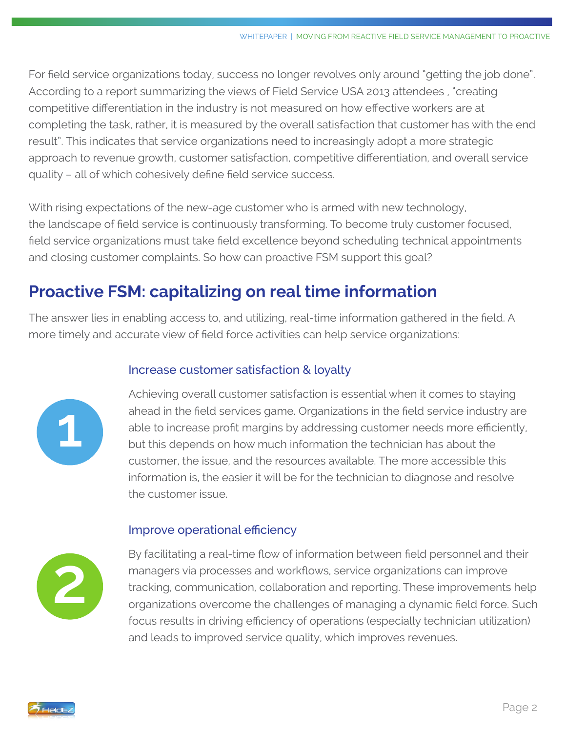For field service organizations today, success no longer revolves only around "getting the job done". According to a report summarizing the views of Field Service USA 2013 attendees , "creating competitive differentiation in the industry is not measured on how effective workers are at completing the task, rather, it is measured by the overall satisfaction that customer has with the end result". This indicates that service organizations need to increasingly adopt a more strategic approach to revenue growth, customer satisfaction, competitive differentiation, and overall service quality – all of which cohesively define field service success.

With rising expectations of the new-age customer who is armed with new technology, the landscape of field service is continuously transforming. To become truly customer focused, field service organizations must take field excellence beyond scheduling technical appointments and closing customer complaints. So how can proactive FSM support this goal?

# **Proactive FSM: capitalizing on real time information**

The answer lies in enabling access to, and utilizing, real-time information gathered in the field. A more timely and accurate view of field force activities can help service organizations:

#### Increase customer satisfaction & loyalty



Achieving overall customer satisfaction is essential when it comes to staying ahead in the field services game. Organizations in the field service industry are able to increase profit margins by addressing customer needs more efficiently, but this depends on how much information the technician has about the customer, the issue, and the resources available. The more accessible this information is, the easier it will be for the technician to diagnose and resolve the customer issue.

#### Improve operational efficiency



By facilitating a real-time flow of information between field personnel and their managers via processes and workflows, service organizations can improve tracking, communication, collaboration and reporting. These improvements help organizations overcome the challenges of managing a dynamic field force. Such focus results in driving efficiency of operations (especially technician utilization) and leads to improved service quality, which improves revenues.

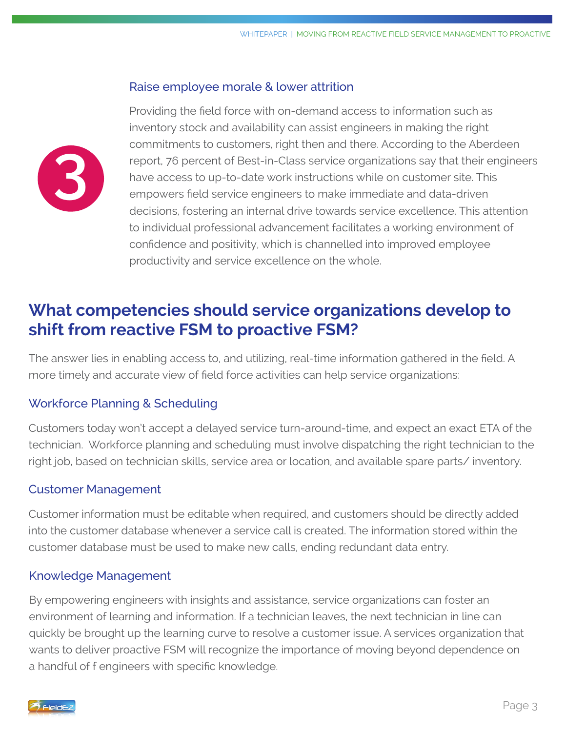#### Raise employee morale & lower attrition



Providing the field force with on-demand access to information such as inventory stock and availability can assist engineers in making the right commitments to customers, right then and there. According to the Aberdeen report, 76 percent of Best-in-Class service organizations say that their engineers have access to up-to-date work instructions while on customer site. This empowers field service engineers to make immediate and data-driven decisions, fostering an internal drive towards service excellence. This attention to individual professional advancement facilitates a working environment of confidence and positivity, which is channelled into improved employee productivity and service excellence on the whole.

# **What competencies should service organizations develop to shift from reactive FSM to proactive FSM?**

The answer lies in enabling access to, and utilizing, real-time information gathered in the field. A more timely and accurate view of field force activities can help service organizations:

#### Workforce Planning & Scheduling

Customers today won't accept a delayed service turn-around-time, and expect an exact ETA of the technician. Workforce planning and scheduling must involve dispatching the right technician to the right job, based on technician skills, service area or location, and available spare parts/ inventory.

#### Customer Management

Customer information must be editable when required, and customers should be directly added into the customer database whenever a service call is created. The information stored within the customer database must be used to make new calls, ending redundant data entry.

#### Knowledge Management

By empowering engineers with insights and assistance, service organizations can foster an environment of learning and information. If a technician leaves, the next technician in line can quickly be brought up the learning curve to resolve a customer issue. A services organization that wants to deliver proactive FSM will recognize the importance of moving beyond dependence on a handful of f engineers with specific knowledge.

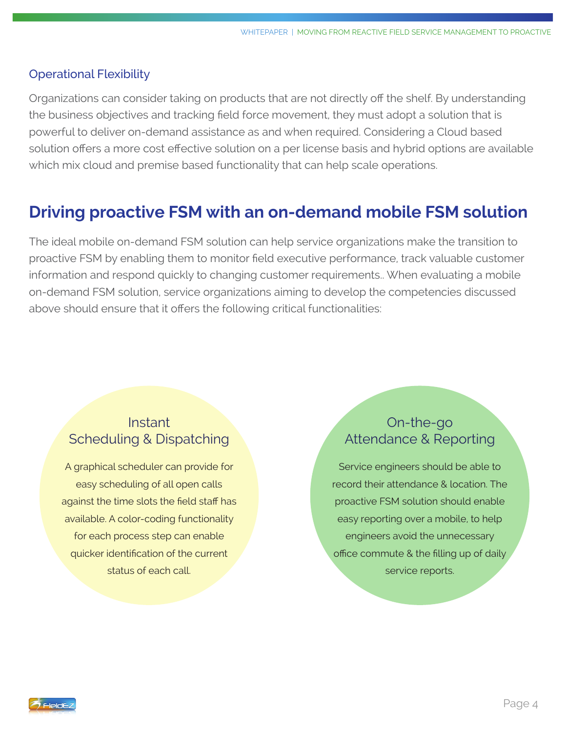#### Operational Flexibility

Organizations can consider taking on products that are not directly off the shelf. By understanding the business objectives and tracking field force movement, they must adopt a solution that is powerful to deliver on-demand assistance as and when required. Considering a Cloud based solution offers a more cost effective solution on a per license basis and hybrid options are available which mix cloud and premise based functionality that can help scale operations.

### **Driving proactive FSM with an on-demand mobile FSM solution**

The ideal mobile on-demand FSM solution can help service organizations make the transition to proactive FSM by enabling them to monitor field executive performance, track valuable customer information and respond quickly to changing customer requirements.. When evaluating a mobile on-demand FSM solution, service organizations aiming to develop the competencies discussed above should ensure that it offers the following critical functionalities:

### **Instant** Scheduling & Dispatching

A graphical scheduler can provide for easy scheduling of all open calls against the time slots the field staff has available. A color-coding functionality for each process step can enable quicker identification of the current status of each call.

### On-the-go Attendance & Reporting

Service engineers should be able to record their attendance & location. The proactive FSM solution should enable easy reporting over a mobile, to help engineers avoid the unnecessary office commute & the filling up of daily service reports.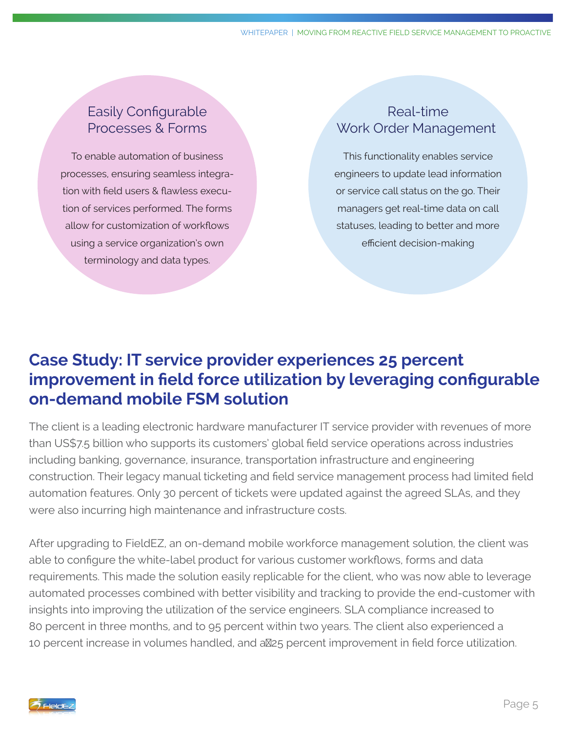### Easily Configurable Processes & Forms

To enable automation of business processes, ensuring seamless integration with field users & flawless execution of services performed. The forms allow for customization of workflows using a service organization's own terminology and data types.

### Real-time Work Order Management

This functionality enables service engineers to update lead information or service call status on the go. Their managers get real-time data on call statuses, leading to better and more efficient decision-making

# **Case Study: IT service provider experiences 25 percent improvement in field force utilization by leveraging configurable on-demand mobile FSM solution**

The client is a leading electronic hardware manufacturer IT service provider with revenues of more than US\$7.5 billion who supports its customers' global field service operations across industries including banking, governance, insurance, transportation infrastructure and engineering construction. Their legacy manual ticketing and field service management process had limited field automation features. Only 30 percent of tickets were updated against the agreed SLAs, and they were also incurring high maintenance and infrastructure costs.

After upgrading to FieldEZ, an on-demand mobile workforce management solution, the client was able to configure the white-label product for various customer workflows, forms and data requirements. This made the solution easily replicable for the client, who was now able to leverage automated processes combined with better visibility and tracking to provide the end-customer with insights into improving the utilization of the service engineers. SLA compliance increased to 80 percent in three months, and to 95 percent within two years. The client also experienced a 10 percent increase in volumes handled, and a 25 percent improvement in field force utilization.